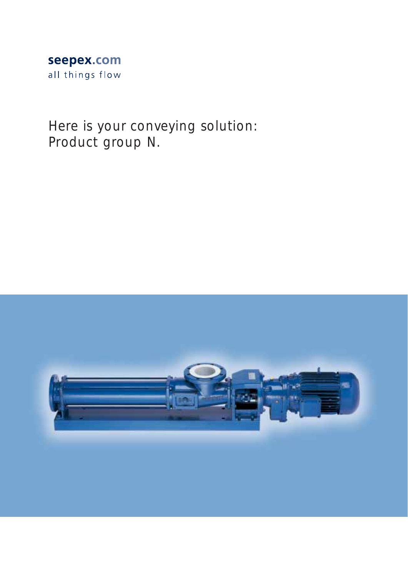## seepex.com all things flow

Here is your conveying solution: Product group N.

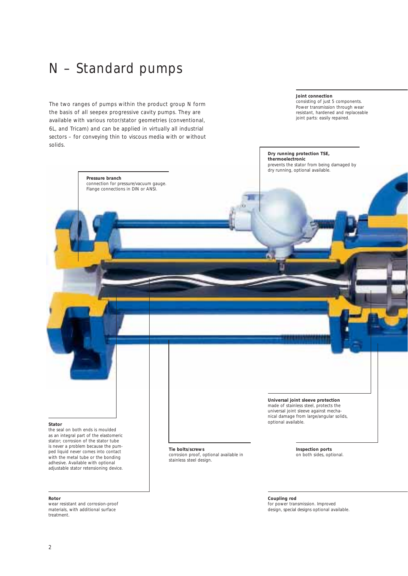# N – Standard pumps

**Pressure branch** 

The two ranges of pumps within the product group N form the basis of all seepex progressive cavity pumps. They are available with various rotor/stator geometries (conventional, 6L, and Tricam) and can be applied in virtually all industrial sectors – for conveying thin to viscous media with or without solids.

> connection for pressure/vacuum gauge. Flange connections in DIN or ANSI.

#### **Joint connection**

consisting of just 5 components. Power transmission through wear resistant, hardened and replaceable joint parts: easily repaired.

### **Dry running protection TSE, thermoelectronic**

prevents the stator from being damaged by dry running, optional available.

#### **Stator**

the seal on both ends is moulded as an integral part of the elastomeric stator; corrosion of the stator tube is never a problem because the pumped liquid never comes into contact with the metal tube or the bonding adhesive. Available with optional adjustable stator retensioning device.

## **Rotor**

wear resistant and corrosion-proof materials, with additional surface treatment.

### **Tie bolts/screws**

corrosion proof, optional available in stainless steel design.

**Inspection ports** on both sides, optional.

**Coupling rod**  for power transmission. Improved design, special designs optional available.

**Universal joint sleeve protection** made of stainless steel, protects the universal joint sleeve against mechanical damage from large/angular solids,

optional available.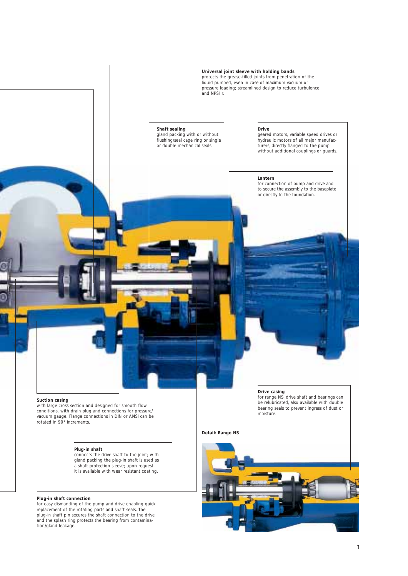

## **Suction casing**

with large cross section and designed for smooth flow conditions, with drain plug and connections for pressure/ vacuum gauge. Flange connections in DIN or ANSI can be rotated in 90° increments.

## **Plug-in shaft**

connects the drive shaft to the joint; with gland packing the plug-in shaft is used as a shaft protection sleeve; upon request, it is available with wear resistant coating.

## **Plug-in shaft connection**

for easy dismantling of the pump and drive enabling quick replacement of the rotating parts and shaft seals. The plug-in shaft pin secures the shaft connection to the drive and the splash ring protects the bearing from contamination/gland leakage.

### **Drive casing**

for range NS, drive shaft and bearings can be relubricated, also available with double bearing seals to prevent ingress of dust or moisture.

**Detail: Range NS**

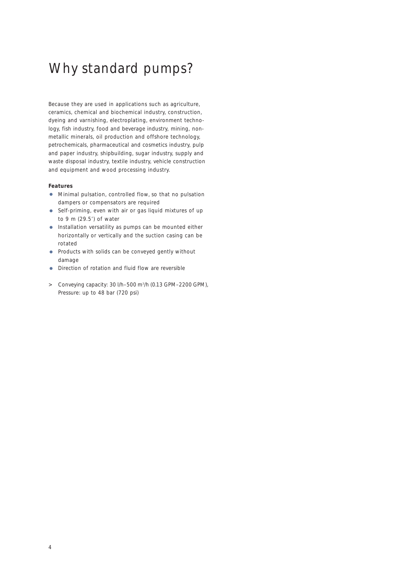# Why standard pumps?

Because they are used in applications such as agriculture, ceramics, chemical and biochemical industry, construction, dyeing and varnishing, electroplating, environment technology, fish industry, food and beverage industry, mining, nonmetallic minerals, oil production and offshore technology, petrochemicals, pharmaceutical and cosmetics industry, pulp and paper industry, shipbuilding, sugar industry, supply and waste disposal industry, textile industry, vehicle construction and equipment and wood processing industry.

## **Features**

- **•** Minimal pulsation, controlled flow, so that no pulsation dampers or compensators are required
- **•** Self-priming, even with air or gas liquid mixtures of up to 9 m (29.5') of water
- **•** Installation versatility as pumps can be mounted either horizontally or vertically and the suction casing can be rotated
- **•** Products with solids can be conveyed gently without damage
- **•** Direction of rotation and fluid flow are reversible
- > Conveying capacity: 30 l/h–500 m3 /h (0.13 GPM–2200 GPM), Pressure: up to 48 bar (720 psi)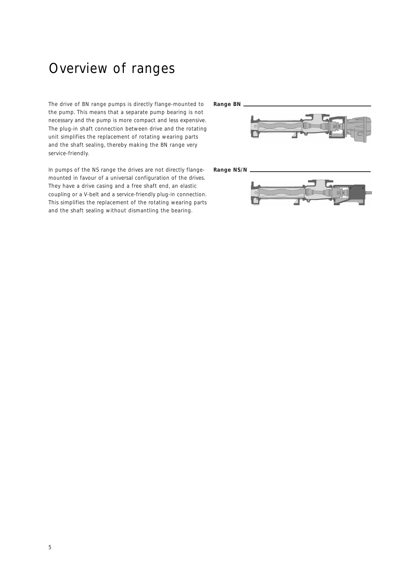## Overview of ranges

The drive of BN range pumps is directly flange-mounted to the pump. This means that a separate pump bearing is not necessary and the pump is more compact and less expensive. The plug-in shaft connection between drive and the rotating unit simplifies the replacement of rotating wearing parts and the shaft sealing, thereby making the BN range very service-friendly.

In pumps of the NS range the drives are not directly flangemounted in favour of a universal configuration of the drives. They have a drive casing and a free shaft end, an elastic coupling or a V-belt and a service-friendly plug-in connection. This simplifies the replacement of the rotating wearing parts and the shaft sealing without dismantling the bearing.